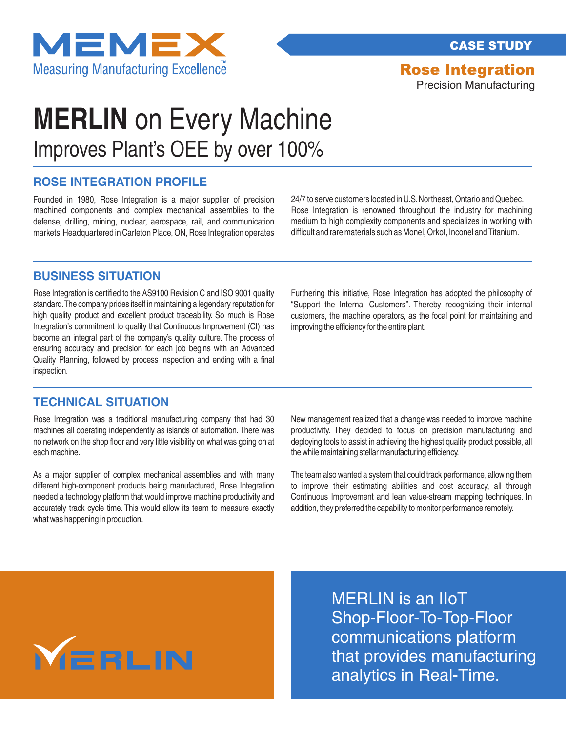

CASE STUDY

Rose Integration

Precision Manufacturing

### Improves Plant's OEE by over 100% **MERLIN** on Every Machine

### **ROSE INTEGRATION PROFILE**

Founded in 1980, Rose Integration is a major supplier of precision machined components and complex mechanical assemblies to the defense, drilling, mining, nuclear, aerospace, rail, and communication markets.Headquartered in Carleton Place, ON, Rose Integration operates

24/7 to serve customers located in U.S.Northeast, Ontario and Quebec. Rose Integration is renowned throughout the industry for machining medium to high complexity components and specializes in working with difficult and rare materials such as Monel, Orkot, Inconel and Titanium.

### **BUSINESS SITUATION**

Rose Integration is certified to the AS9100 Revision C and ISO 9001 quality standard.The company prides itself in maintaining a legendary reputation for high quality product and excellent product traceability. So much is Rose Integration's commitment to quality that Continuous Improvement (CI) has become an integral part of the company's quality culture. The process of ensuring accuracy and precision for each job begins with an Advanced Quality Planning, followed by process inspection and ending with a final inspection.

Furthering this initiative, Rose Integration has adopted the philosophy of "Support the Internal Customers". Thereby recognizing their internal customers, the machine operators, as the focal point for maintaining and improving the efficiency for the entire plant.

#### **TECHNICAL SITUATION**

Rose Integration was a traditional manufacturing company that had 30 machines all operating independently as islands of automation.There was no network on the shop floor and very little visibility on what was going on at each machine.

As a major supplier of complex mechanical assemblies and with many different high-component products being manufactured, Rose Integration needed a technology platform that would improve machine productivity and accurately track cycle time. This would allow its team to measure exactly what was happening in production.

New management realized that a change was needed to improve machine productivity. They decided to focus on precision manufacturing and deploying tools to assist in achieving the highest quality product possible, all the while maintaining stellar manufacturing efficiency.

The team also wanted a system that could track performance, allowing them to improve their estimating abilities and cost accuracy, all through Continuous Improvement and lean value-stream mapping techniques. In addition, they preferred the capability to monitor performance remotely.

# MERLIN

MERLIN is an IIoT Shop-Floor-To-Top-Floor communications platform that provides manufacturing analytics in Real-Time.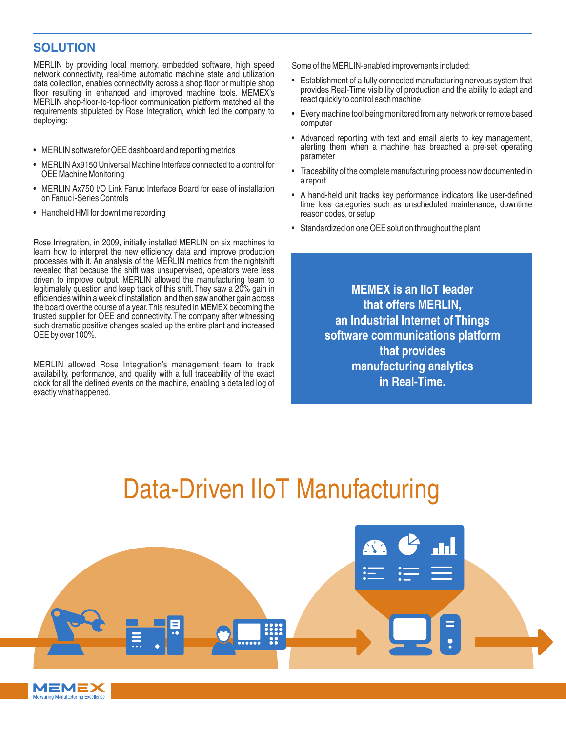### **SOLUTION**

MERLIN by providing local memory, embedded software, high speed network connectivity, real-time automatic machine state and utilization data collection, enables connectivity across a shop floor or multiple shop floor resulting in enhanced and improved machine tools. MEMEX's MERLIN shop-floor-to-top-floor communication platform matched all the requirements stipulated by Rose Integration, which led the company to deploying:

- MERLIN software for OEE dashboard and reporting metrics
- MERLIN Ax9150 Universal Machine Interface connected to a control for OEE Machine Monitoring
- MERLIN Ax750 I/O Link Fanuc Interface Board for ease of installation on Fanuc i-Series Controls
- Handheld HMI for downtime recording

MEMEX Measuring Manufacturing Excellence

Rose Integration, in 2009, initially installed MERLIN on six machines to learn how to interpret the new efficiency data and improve production processes with it. An analysis of the MERLIN metrics from the nightshift revealed that because the shift was unsupervised, operators were less driven to improve output. MERLIN allowed the manufacturing team to legitimately question and keep track of this shift.They saw a 20% gain in efficiencies within a week of installation, and then saw another gain across the board over the course of a year.This resulted in MEMEX becoming the trusted supplier for OEE and connectivity. The company after witnessing such dramatic positive changes scaled up the entire plant and increased OEE by over 100%.

MERLIN allowed Rose Integration's management team to track availability, performance, and quality with a full traceability of the exact clock for all the defined events on the machine, enabling a detailed log of exactly what happened.

Some of the MERLIN-enabled improvements included:

- Establishment of a fully connected manufacturing nervous system that provides Real-Time visibility of production and the ability to adapt and react quickly to control each machine
- Every machine tool being monitored from any network or remote based computer
- Advanced reporting with text and email alerts to key management, alerting them when a machine has breached a pre-set operating parameter
- Traceability of the complete manufacturing process now documented in a report
- A hand-held unit tracks key performance indicators like user-defined time loss categories such as unscheduled maintenance, downtime reason codes, or setup
- Standardized on one OEE solution throughout the plant

**MEMEX is an IIoT leader that offers MERLIN, an Industrial Internet of Things software communications platform that provides manufacturing analytics in Real-Time.**

### Data-Driven IIoT Manufacturing

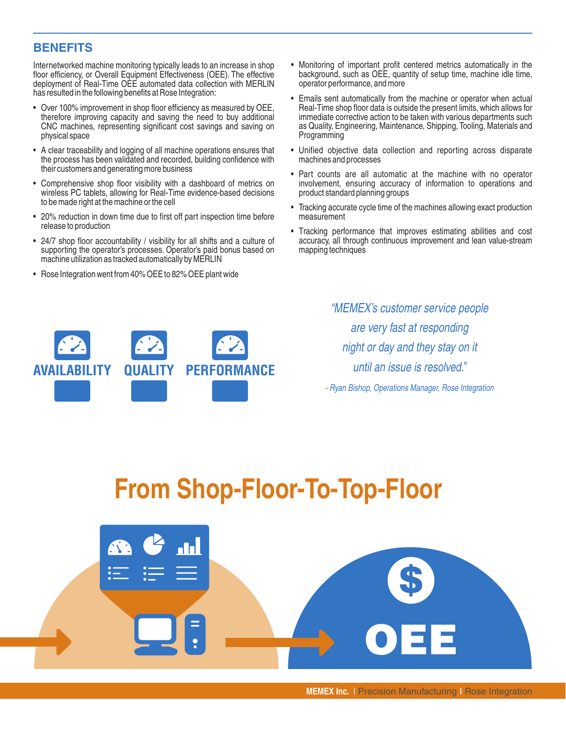### **BENEFITS**

Internetworked machine monitoring typically leads to an increase in shop floor efficiency, or Overall Equipment Effectiveness (OEE). The effective deployment of Real-Time OEE automated data collection with MERLIN has resulted in the following benefits at Rose Integration:

- Over 100% improvement in shop floor efficiency as measured by OEE, therefore improving capacity and saving the need to buy additional CNC machines, representing significant cost savings and saving on physical space
- A clear traceability and logging of all machine operations ensures that the process has been validated and recorded, building confidence with their customers and generating more business
- Comprehensive shop floor visibility with a dashboard of metrics on wireless PC tablets, allowing for Real-Time evidence-based decisions to be made right at the machine or the cell
- 20% reduction in down time due to first off part inspection time before release to production
- 24/7 shop floor accountability / visibility for all shifts and a culture of supporting the operator's processes. Operator's paid bonus based on machine utilization as tracked automatically by MERLIN
- Rose Integration went from 40% OEE to 82% OEE plant wide
- Monitoring of important profit centered metrics automatically in the background, such as OEE, quantity of setup time, machine idle time, operator performance, and more
- Emails sent automatically from the machine or operator when actual Real-Time shop floor data is outside the present limits, which allows for immediate corrective action to be taken with various departments such as Quality, Engineering, Maintenance, Shipping, Tooling, Materials and Programming
- Unified objective data collection and reporting across disparate machines and processes
- Part counts are all automatic at the machine with no operator involvement, ensuring accuracy of information to operations and product standard planning groups
- Tracking accurate cycle time of the machines allowing exact production measurement
- Tracking performance that improves estimating abilities and cost accuracy, all through continuous improvement and lean value-stream mapping techniques

**AVAILABILITY QUALITY PERFORMANCE**

"MEMEX's customer service people are very fast at responding night or day and they stay on it until an issue is resolved."

- Ryan Bishop, Operations Manager, Rose Integration

## **From Shop-Floor-To-Top-Floor**